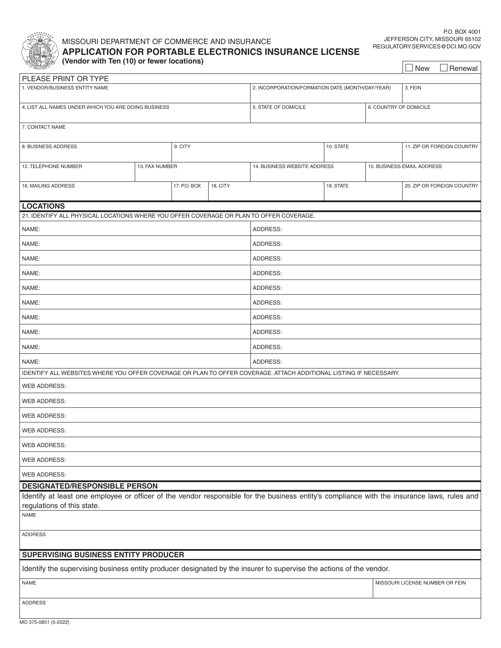

**PLEASE** 

# MISSOURI DEPARTMENT OF COMMERCE AND INSURANCE

 $\Box$  New  $\Box$  Renewal

**APPLICATION FOR PORTABLE ELECTRONICS INSURANCE LICENSE (Vendor with Ten (10) or fewer locations)**

| PLEASE PRINT OR TYPE                                                                                                                                                                                                             |                |  |                                                  |                              |                                 |  |                            |  |  |  |  |
|----------------------------------------------------------------------------------------------------------------------------------------------------------------------------------------------------------------------------------|----------------|--|--------------------------------------------------|------------------------------|---------------------------------|--|----------------------------|--|--|--|--|
| 1. VENDOR/BUSINESS ENTITY NAME                                                                                                                                                                                                   |                |  | 2. INCORPORATION/FORMATION DATE (MONTH/DAY/YEAR) | 3. FEIN                      |                                 |  |                            |  |  |  |  |
| 4. LIST ALL NAMES UNDER WHICH YOU ARE DOING BUSINESS                                                                                                                                                                             |                |  | 5. STATE OF DOMICILE                             |                              | 6. COUNTRY OF DOMICILE          |  |                            |  |  |  |  |
| 7. CONTACT NAME                                                                                                                                                                                                                  |                |  |                                                  |                              |                                 |  |                            |  |  |  |  |
| 8. BUSINESS ADDRESS<br>9. CITY                                                                                                                                                                                                   |                |  |                                                  | 11. ZIP OR FOREIGN COUNTRY   |                                 |  |                            |  |  |  |  |
| 12. TELEPHONE NUMBER                                                                                                                                                                                                             | 13. FAX NUMBER |  |                                                  | 14. BUSINESS WEBSITE ADDRESS | 15. BUSINESS EMAIL ADDRESS      |  |                            |  |  |  |  |
| 17. P.O. BOX<br>18. CITY<br>16. MAILING ADDRESS                                                                                                                                                                                  |                |  |                                                  |                              | 19. STATE                       |  | 20. ZIP OR FOREIGN COUNTRY |  |  |  |  |
| <b>LOCATIONS</b>                                                                                                                                                                                                                 |                |  |                                                  |                              |                                 |  |                            |  |  |  |  |
| 21. IDENTIFY ALL PHYSICAL LOCATIONS WHERE YOU OFFER COVERAGE OR PLAN TO OFFER COVERAGE.                                                                                                                                          |                |  |                                                  |                              |                                 |  |                            |  |  |  |  |
| NAME:                                                                                                                                                                                                                            |                |  |                                                  | ADDRESS:                     |                                 |  |                            |  |  |  |  |
| NAME:                                                                                                                                                                                                                            |                |  |                                                  | ADDRESS:                     |                                 |  |                            |  |  |  |  |
| NAME:                                                                                                                                                                                                                            |                |  |                                                  | ADDRESS:                     |                                 |  |                            |  |  |  |  |
| NAME:                                                                                                                                                                                                                            |                |  |                                                  | ADDRESS:                     |                                 |  |                            |  |  |  |  |
| NAME:                                                                                                                                                                                                                            |                |  |                                                  | ADDRESS:                     |                                 |  |                            |  |  |  |  |
| NAME:                                                                                                                                                                                                                            |                |  |                                                  | ADDRESS:                     |                                 |  |                            |  |  |  |  |
| NAME:                                                                                                                                                                                                                            |                |  |                                                  | ADDRESS:                     |                                 |  |                            |  |  |  |  |
| NAME:                                                                                                                                                                                                                            |                |  |                                                  | ADDRESS:                     |                                 |  |                            |  |  |  |  |
| NAME:                                                                                                                                                                                                                            |                |  |                                                  | ADDRESS:                     |                                 |  |                            |  |  |  |  |
| NAME:                                                                                                                                                                                                                            |                |  |                                                  | ADDRESS:                     |                                 |  |                            |  |  |  |  |
| IDENTIFY ALL WEBSITES WHERE YOU OFFER COVERAGE OR PLAN TO OFFER COVERAGE. ATTACH ADDITIONAL LISTING IF NECESSARY.                                                                                                                |                |  |                                                  |                              |                                 |  |                            |  |  |  |  |
| <b>WEB ADDRESS:</b>                                                                                                                                                                                                              |                |  |                                                  |                              |                                 |  |                            |  |  |  |  |
| <b>WEB ADDRESS:</b>                                                                                                                                                                                                              |                |  |                                                  |                              |                                 |  |                            |  |  |  |  |
| <b>WEB ADDRESS:</b>                                                                                                                                                                                                              |                |  |                                                  |                              |                                 |  |                            |  |  |  |  |
| <b>WEB ADDRESS:</b>                                                                                                                                                                                                              |                |  |                                                  |                              |                                 |  |                            |  |  |  |  |
| WEB ADDRESS:                                                                                                                                                                                                                     |                |  |                                                  |                              |                                 |  |                            |  |  |  |  |
| <b>WEB ADDRESS:</b>                                                                                                                                                                                                              |                |  |                                                  |                              |                                 |  |                            |  |  |  |  |
| <b>WEB ADDRESS:</b>                                                                                                                                                                                                              |                |  |                                                  |                              |                                 |  |                            |  |  |  |  |
| <b>DESIGNATED/RESPONSIBLE PERSON</b><br>Identify at least one employee or officer of the vendor responsible for the business entity's compliance with the insurance laws, rules and<br>regulations of this state.<br><b>NAME</b> |                |  |                                                  |                              |                                 |  |                            |  |  |  |  |
| <b>ADDRESS</b>                                                                                                                                                                                                                   |                |  |                                                  |                              |                                 |  |                            |  |  |  |  |
|                                                                                                                                                                                                                                  |                |  |                                                  |                              |                                 |  |                            |  |  |  |  |
| SUPERVISING BUSINESS ENTITY PRODUCER                                                                                                                                                                                             |                |  |                                                  |                              |                                 |  |                            |  |  |  |  |
| Identify the supervising business entity producer designated by the insurer to supervise the actions of the vendor.                                                                                                              |                |  |                                                  |                              |                                 |  |                            |  |  |  |  |
| <b>NAME</b>                                                                                                                                                                                                                      |                |  |                                                  |                              | MISSOURI LICENSE NUMBER OR FEIN |  |                            |  |  |  |  |
| <b>ADDRESS</b>                                                                                                                                                                                                                   |                |  |                                                  |                              |                                 |  |                            |  |  |  |  |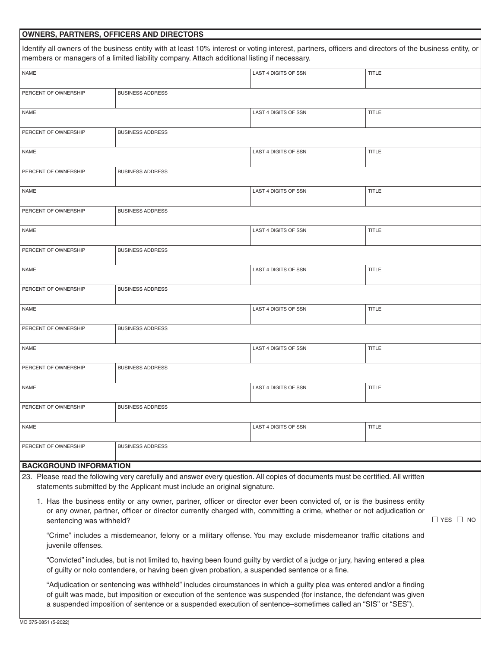# **OWNERS, PARTNERS, OFFICERS AND DIRECTORS**

|                               | Identify all owners of the business entity with at least 10% interest or voting interest, partners, officers and directors of the business entity, or<br>members or managers of a limited liability company. Attach additional listing if necessary.                                                                                                        |                             |                      |  |  |  |
|-------------------------------|-------------------------------------------------------------------------------------------------------------------------------------------------------------------------------------------------------------------------------------------------------------------------------------------------------------------------------------------------------------|-----------------------------|----------------------|--|--|--|
| <b>NAME</b>                   |                                                                                                                                                                                                                                                                                                                                                             | LAST 4 DIGITS OF SSN        | <b>TITLE</b>         |  |  |  |
| PERCENT OF OWNERSHIP          | <b>BUSINESS ADDRESS</b>                                                                                                                                                                                                                                                                                                                                     |                             |                      |  |  |  |
| <b>NAME</b>                   |                                                                                                                                                                                                                                                                                                                                                             | LAST 4 DIGITS OF SSN        | <b>TITLE</b>         |  |  |  |
| PERCENT OF OWNERSHIP          | <b>BUSINESS ADDRESS</b>                                                                                                                                                                                                                                                                                                                                     |                             |                      |  |  |  |
| <b>NAME</b>                   |                                                                                                                                                                                                                                                                                                                                                             | <b>LAST 4 DIGITS OF SSN</b> | <b>TITLE</b>         |  |  |  |
| PERCENT OF OWNERSHIP          | <b>BUSINESS ADDRESS</b>                                                                                                                                                                                                                                                                                                                                     |                             |                      |  |  |  |
| <b>NAME</b>                   |                                                                                                                                                                                                                                                                                                                                                             | LAST 4 DIGITS OF SSN        | <b>TITLE</b>         |  |  |  |
| PERCENT OF OWNERSHIP          | <b>BUSINESS ADDRESS</b>                                                                                                                                                                                                                                                                                                                                     |                             |                      |  |  |  |
| <b>NAME</b>                   |                                                                                                                                                                                                                                                                                                                                                             | LAST 4 DIGITS OF SSN        | <b>TITLE</b>         |  |  |  |
| PERCENT OF OWNERSHIP          | <b>BUSINESS ADDRESS</b>                                                                                                                                                                                                                                                                                                                                     |                             |                      |  |  |  |
| <b>NAME</b>                   |                                                                                                                                                                                                                                                                                                                                                             | <b>LAST 4 DIGITS OF SSN</b> | <b>TITLE</b>         |  |  |  |
| PERCENT OF OWNERSHIP          | <b>BUSINESS ADDRESS</b>                                                                                                                                                                                                                                                                                                                                     |                             |                      |  |  |  |
| <b>NAME</b>                   |                                                                                                                                                                                                                                                                                                                                                             | LAST 4 DIGITS OF SSN        | <b>TITLE</b>         |  |  |  |
| PERCENT OF OWNERSHIP          | <b>BUSINESS ADDRESS</b>                                                                                                                                                                                                                                                                                                                                     |                             |                      |  |  |  |
| <b>NAME</b>                   |                                                                                                                                                                                                                                                                                                                                                             | LAST 4 DIGITS OF SSN        | <b>TITLE</b>         |  |  |  |
| PERCENT OF OWNERSHIP          | <b>BUSINESS ADDRESS</b>                                                                                                                                                                                                                                                                                                                                     |                             |                      |  |  |  |
| <b>NAME</b>                   |                                                                                                                                                                                                                                                                                                                                                             | LAST 4 DIGITS OF SSN        | <b>TITLE</b>         |  |  |  |
| PERCENT OF OWNERSHIP          | <b>BUSINESS ADDRESS</b>                                                                                                                                                                                                                                                                                                                                     |                             |                      |  |  |  |
| <b>NAME</b>                   |                                                                                                                                                                                                                                                                                                                                                             | LAST 4 DIGITS OF SSN        | <b>TITLE</b>         |  |  |  |
| PERCENT OF OWNERSHIP          | <b>BUSINESS ADDRESS</b>                                                                                                                                                                                                                                                                                                                                     |                             |                      |  |  |  |
| <b>BACKGROUND INFORMATION</b> |                                                                                                                                                                                                                                                                                                                                                             |                             |                      |  |  |  |
|                               | 23. Please read the following very carefully and answer every question. All copies of documents must be certified. All written<br>statements submitted by the Applicant must include an original signature.                                                                                                                                                 |                             |                      |  |  |  |
| sentencing was withheld?      | 1. Has the business entity or any owner, partner, officer or director ever been convicted of, or is the business entity<br>or any owner, partner, officer or director currently charged with, committing a crime, whether or not adjudication or                                                                                                            |                             | $\Box$ YES $\Box$ NO |  |  |  |
| juvenile offenses.            | "Crime" includes a misdemeanor, felony or a military offense. You may exclude misdemeanor traffic citations and                                                                                                                                                                                                                                             |                             |                      |  |  |  |
|                               | "Convicted" includes, but is not limited to, having been found guilty by verdict of a judge or jury, having entered a plea<br>of guilty or nolo contendere, or having been given probation, a suspended sentence or a fine.                                                                                                                                 |                             |                      |  |  |  |
|                               | "Adjudication or sentencing was withheld" includes circumstances in which a guilty plea was entered and/or a finding<br>of guilt was made, but imposition or execution of the sentence was suspended (for instance, the defendant was given<br>a suspended imposition of sentence or a suspended execution of sentence-sometimes called an "SIS" or "SES"). |                             |                      |  |  |  |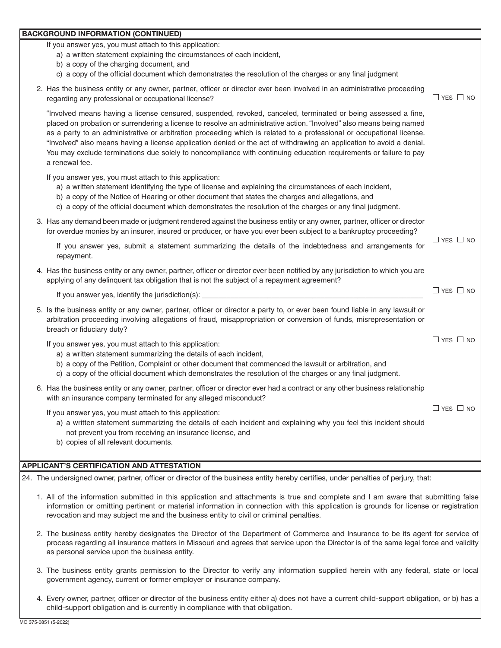#### **BACKGROUND INFORMATION (CONTINUED)**

If you answer yes, you must attach to this application:

- a) a written statement explaining the circumstances of each incident,
- b) a copy of the charging document, and
- c) a copy of the official document which demonstrates the resolution of the charges or any final judgment
- 2. Has the business entity or any owner, partner, officer or director ever been involved in an administrative proceeding regarding any professional or occupational license?  $\Box$  YES  $\Box$  NO

 "Involved means having a license censured, suspended, revoked, canceled, terminated or being assessed a fine, placed on probation or surrendering a license to resolve an administrative action. "Involved" also means being named as a party to an administrative or arbitration proceeding which is related to a professional or occupational license. "Involved" also means having a license application denied or the act of withdrawing an application to avoid a denial. You may exclude terminations due solely to noncompliance with continuing education requirements or failure to pay a renewal fee.

If you answer yes, you must attach to this application:

- a) a written statement identifying the type of license and explaining the circumstances of each incident,
- b) a copy of the Notice of Hearing or other document that states the charges and allegations, and
- c) a copy of the official document which demonstrates the resolution of the charges or any final judgment.

| 3. Has any demand been made or judgment rendered against the business entity or any owner, partner, officer or director |  |
|-------------------------------------------------------------------------------------------------------------------------|--|
| for overdue monies by an insurer, insured or producer, or have you ever been subject to a bankruptcy proceeding?        |  |

|                                                                                                        |  |  |  |  |  |  | $\Box$ YES $\Box$ NO |
|--------------------------------------------------------------------------------------------------------|--|--|--|--|--|--|----------------------|
| If you answer yes, submit a statement summarizing the details of the indebtedness and arrangements for |  |  |  |  |  |  |                      |
| repayment.                                                                                             |  |  |  |  |  |  |                      |
|                                                                                                        |  |  |  |  |  |  |                      |

4. Has the business entity or any owner, partner, officer or director ever been notified by any jurisdiction to which you are applying of any delinquent tax obligation that is not the subject of a repayment agreement?

If you answer yes, identify the jurisdiction(s):

5. Is the business entity or any owner, partner, officer or director a party to, or ever been found liable in any lawsuit or arbitration proceeding involving allegations of fraud, misappropriation or conversion of funds, misrepresentation or breach or fiduciary duty?

If you answer yes, you must attach to this application:

- a) a written statement summarizing the details of each incident,
- b) a copy of the Petition, Complaint or other document that commenced the lawsuit or arbitration, and
- c) a copy of the official document which demonstrates the resolution of the charges or any final judgment.
- 6. Has the business entity or any owner, partner, officer or director ever had a contract or any other business relationship with an insurance company terminated for any alleged misconduct?

If you answer yes, you must attach to this application:

 $\Box$  YES  $\Box$  NO

 $\Box$  YES  $\Box$  NO

 $\Box$  YES  $\Box$  NO

- a) a written statement summarizing the details of each incident and explaining why you feel this incident should not prevent you from receiving an insurance license, and
- b) copies of all relevant documents.

### **APPLICANT'S CERTIFICATION AND ATTESTATION**

24. The undersigned owner, partner, officer or director of the business entity hereby certifies, under penalties of perjury, that:

- 1. All of the information submitted in this application and attachments is true and complete and I am aware that submitting false information or omitting pertinent or material information in connection with this application is grounds for license or registration revocation and may subject me and the business entity to civil or criminal penalties.
- 2. The business entity hereby designates the Director of the Department of Commerce and Insurance to be its agent for service of process regarding all insurance matters in Missouri and agrees that service upon the Director is of the same legal force and validity as personal service upon the business entity.
- 3. The business entity grants permission to the Director to verify any information supplied herein with any federal, state or local government agency, current or former employer or insurance company.
- 4. Every owner, partner, officer or director of the business entity either a) does not have a current child-support obligation, or b) has a child-support obligation and is currently in compliance with that obligation.